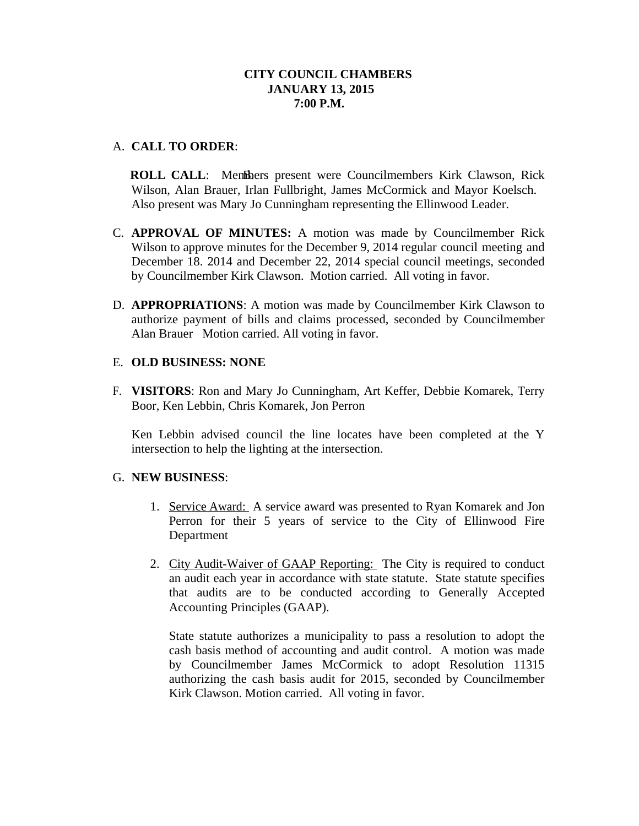# **CITY COUNCIL CHAMBERS JANUARY 13, 2015 7:00 P.M.**

# A. **CALL TO ORDER**:

**ROLL CALL:** Members present were Councilmembers Kirk Clawson, Rick Wilson, Alan Brauer, Irlan Fullbright, James McCormick and Mayor Koelsch. Also present was Mary Jo Cunningham representing the Ellinwood Leader.

- C. **APPROVAL OF MINUTES:** A motion was made by Councilmember Rick Wilson to approve minutes for the December 9, 2014 regular council meeting and December 18. 2014 and December 22, 2014 special council meetings, seconded by Councilmember Kirk Clawson. Motion carried. All voting in favor.
- D. **APPROPRIATIONS**: A motion was made by Councilmember Kirk Clawson to authorize payment of bills and claims processed, seconded by Councilmember Alan Brauer Motion carried. All voting in favor.

# E. **OLD BUSINESS: NONE**

F. **VISITORS**: Ron and Mary Jo Cunningham, Art Keffer, Debbie Komarek, Terry Boor, Ken Lebbin, Chris Komarek, Jon Perron

Ken Lebbin advised council the line locates have been completed at the Y intersection to help the lighting at the intersection.

#### G. **NEW BUSINESS**:

- 1. Service Award: A service award was presented to Ryan Komarek and Jon Perron for their 5 years of service to the City of Ellinwood Fire Department
- 2. City Audit-Waiver of GAAP Reporting: The City is required to conduct an audit each year in accordance with state statute. State statute specifies that audits are to be conducted according to Generally Accepted Accounting Principles (GAAP).

State statute authorizes a municipality to pass a resolution to adopt the cash basis method of accounting and audit control. A motion was made by Councilmember James McCormick to adopt Resolution 11315 authorizing the cash basis audit for 2015, seconded by Councilmember Kirk Clawson. Motion carried. All voting in favor.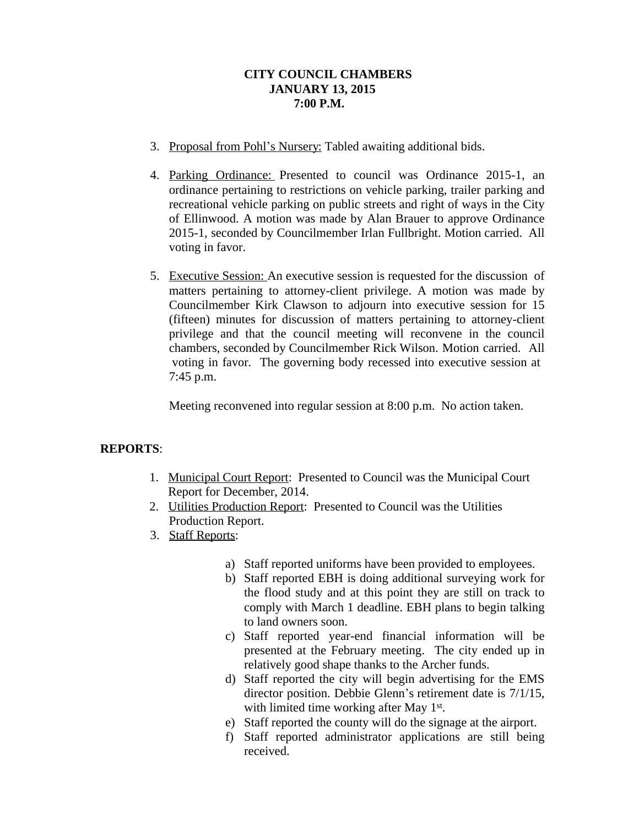# **CITY COUNCIL CHAMBERS JANUARY 13, 2015 7:00 P.M.**

- 3. Proposal from Pohl's Nursery: Tabled awaiting additional bids.
- 4. Parking Ordinance: Presented to council was Ordinance 2015-1, an ordinance pertaining to restrictions on vehicle parking, trailer parking and recreational vehicle parking on public streets and right of ways in the City of Ellinwood. A motion was made by Alan Brauer to approve Ordinance 2015-1, seconded by Councilmember Irlan Fullbright. Motion carried. All voting in favor.
- 5. Executive Session: An executive session is requested for the discussion of matters pertaining to attorney-client privilege. A motion was made by Councilmember Kirk Clawson to adjourn into executive session for 15 (fifteen) minutes for discussion of matters pertaining to attorney-client privilege and that the council meeting will reconvene in the council chambers, seconded by Councilmember Rick Wilson. Motion carried. All voting in favor. The governing body recessed into executive session at 7:45 p.m.

Meeting reconvened into regular session at 8:00 p.m. No action taken.

# **REPORTS**:

- 1. Municipal Court Report: Presented to Council was the Municipal Court Report for December, 2014.
- 2. Utilities Production Report: Presented to Council was the Utilities Production Report.
- 3. Staff Reports:
	- a) Staff reported uniforms have been provided to employees.
	- b) Staff reported EBH is doing additional surveying work for the flood study and at this point they are still on track to comply with March 1 deadline. EBH plans to begin talking to land owners soon.
	- c) Staff reported year-end financial information will be presented at the February meeting. The city ended up in relatively good shape thanks to the Archer funds.
	- d) Staff reported the city will begin advertising for the EMS director position. Debbie Glenn's retirement date is 7/1/15, with limited time working after May 1<sup>st</sup>.
	- e) Staff reported the county will do the signage at the airport.
	- f) Staff reported administrator applications are still being received.